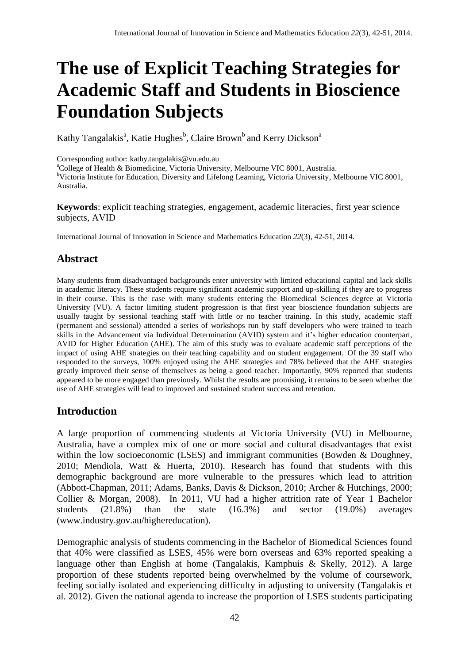# **The use of Explicit Teaching Strategies for Academic Staff and Students in Bioscience Foundation Subjects**

Kathy Tangalakis<sup>a</sup>, Katie Hughes<sup>b</sup>, Claire Brown<sup>b</sup> and Kerry Dickson<sup>a</sup>

Corresponding author: kathy.tangalakis@vu.edu.au

<sup>a</sup>College of Health & Biomedicine, Victoria University, Melbourne VIC 8001, Australia.

<sup>b</sup>Victoria Institute for Education, Diversity and Lifelong Learning, Victoria University, Melbourne VIC 8001, Australia.

**Keywords**: explicit teaching strategies, engagement, academic literacies, first year science subjects, AVID

International Journal of Innovation in Science and Mathematics Education *22*(3), 42-51, 2014.

## **Abstract**

Many students from disadvantaged backgrounds enter university with limited educational capital and lack skills in academic literacy. These students require significant academic support and up-skilling if they are to progress in their course. This is the case with many students entering the Biomedical Sciences degree at Victoria University (VU). A factor limiting student progression is that first year bioscience foundation subjects are usually taught by sessional teaching staff with little or no teacher training. In this study, academic staff (permanent and sessional) attended a series of workshops run by staff developers who were trained to teach skills in the Advancement via Individual Determination (AVID) system and it's higher education counterpart, AVID for Higher Education (AHE). The aim of this study was to evaluate academic staff perceptions of the impact of using AHE strategies on their teaching capability and on student engagement. Of the 39 staff who responded to the surveys, 100% enjoyed using the AHE strategies and 78% believed that the AHE strategies greatly improved their sense of themselves as being a good teacher. Importantly, 90% reported that students appeared to be more engaged than previously. Whilst the results are promising, it remains to be seen whether the use of AHE strategies will lead to improved and sustained student success and retention.

### **Introduction**

A large proportion of commencing students at Victoria University (VU) in Melbourne, Australia, have a complex mix of one or more social and cultural disadvantages that exist within the low socioeconomic (LSES) and immigrant communities (Bowden  $\&$  Doughney, 2010; Mendiola, Watt & Huerta, 2010). Research has found that students with this demographic background are more vulnerable to the pressures which lead to attrition (Abbott-Chapman, 2011; Adams, Banks, Davis & Dickson, 2010; Archer & Hutchings, 2000; Collier & Morgan, 2008). In 2011, VU had a higher attrition rate of Year 1 Bachelor students (21.8%) than the state (16.3%) and sector (19.0%) averages (www.industry.gov.au/highereducation).

Demographic analysis of students commencing in the Bachelor of Biomedical Sciences found that 40% were classified as LSES, 45% were born overseas and 63% reported speaking a language other than English at home (Tangalakis, Kamphuis & Skelly, 2012). A large proportion of these students reported being overwhelmed by the volume of coursework, feeling socially isolated and experiencing difficulty in adjusting to university (Tangalakis et al. 2012). Given the national agenda to increase the proportion of LSES students participating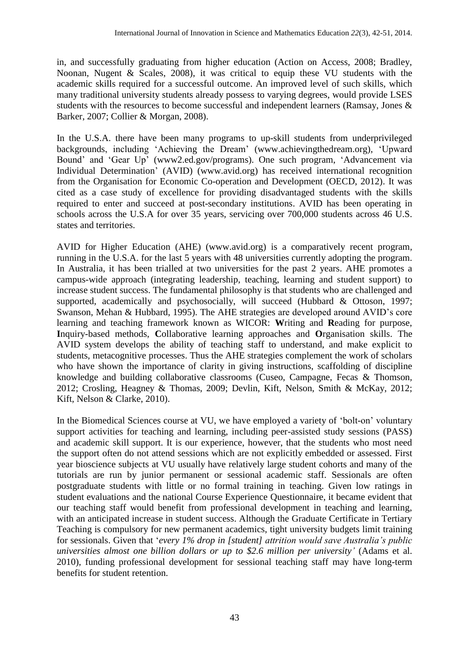in, and successfully graduating from higher education (Action on Access, 2008; Bradley, Noonan, Nugent & Scales, 2008), it was critical to equip these VU students with the academic skills required for a successful outcome. An improved level of such skills, which many traditional university students already possess to varying degrees, would provide LSES students with the resources to become successful and independent learners (Ramsay, Jones & Barker, 2007; Collier & Morgan, 2008).

In the U.S.A. there have been many programs to up-skill students from underprivileged backgrounds, including 'Achieving the Dream' (www.achievingthedream.org), 'Upward Bound' and 'Gear Up' (www2.ed.gov/programs). One such program, 'Advancement via Individual Determination' (AVID) (www.avid.org) has received international recognition from the Organisation for Economic Co-operation and Development (OECD, 2012). It was cited as a case study of excellence for providing disadvantaged students with the skills required to enter and succeed at post-secondary institutions. AVID has been operating in schools across the U.S.A for over 35 years, servicing over 700,000 students across 46 U.S. states and territories.

AVID for Higher Education (AHE) (www.avid.org) is a comparatively recent program, running in the U.S.A. for the last 5 years with 48 universities currently adopting the program. In Australia, it has been trialled at two universities for the past 2 years. AHE promotes a campus-wide approach (integrating leadership, teaching, learning and student support) to increase student success. The fundamental philosophy is that students who are challenged and supported, academically and psychosocially, will succeed (Hubbard & Ottoson, 1997; Swanson, Mehan & Hubbard, 1995). The AHE strategies are developed around AVID's core learning and teaching framework known as WICOR: **W**riting and **R**eading for purpose, **I**nquiry-based methods, **C**ollaborative learning approaches and **O**rganisation skills. The AVID system develops the ability of teaching staff to understand, and make explicit to students, metacognitive processes. Thus the AHE strategies complement the work of scholars who have shown the importance of clarity in giving instructions, scaffolding of discipline knowledge and building collaborative classrooms (Cuseo, Campagne, Fecas & Thomson*,* 2012; Crosling, Heagney & Thomas, 2009; Devlin, Kift, Nelson, Smith & McKay, 2012; Kift*,* Nelson & Clarke, 2010).

In the Biomedical Sciences course at VU, we have employed a variety of 'bolt-on' voluntary support activities for teaching and learning, including peer-assisted study sessions (PASS) and academic skill support. It is our experience, however, that the students who most need the support often do not attend sessions which are not explicitly embedded or assessed. First year bioscience subjects at VU usually have relatively large student cohorts and many of the tutorials are run by junior permanent or sessional academic staff. Sessionals are often postgraduate students with little or no formal training in teaching. Given low ratings in student evaluations and the national Course Experience Questionnaire, it became evident that our teaching staff would benefit from professional development in teaching and learning, with an anticipated increase in student success. Although the Graduate Certificate in Tertiary Teaching is compulsory for new permanent academics, tight university budgets limit training for sessionals. Given that '*every 1% drop in [student] attrition would save Australia's public universities almost one billion dollars or up to \$2.6 million per university'* (Adams et al. 2010), funding professional development for sessional teaching staff may have long-term benefits for student retention.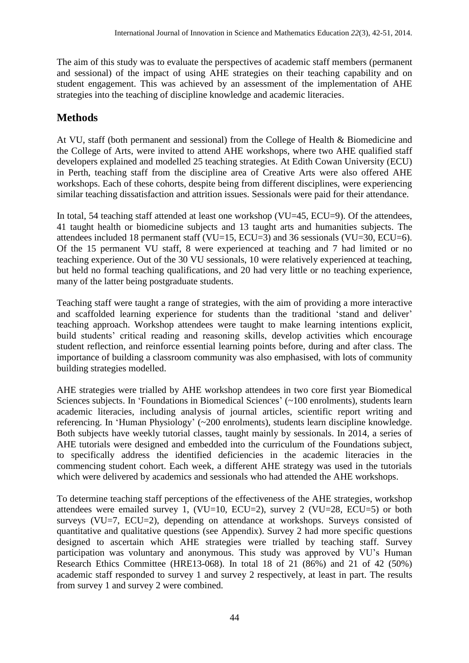The aim of this study was to evaluate the perspectives of academic staff members (permanent and sessional) of the impact of using AHE strategies on their teaching capability and on student engagement. This was achieved by an assessment of the implementation of AHE strategies into the teaching of discipline knowledge and academic literacies.

## **Methods**

At VU, staff (both permanent and sessional) from the College of Health & Biomedicine and the College of Arts, were invited to attend AHE workshops, where two AHE qualified staff developers explained and modelled 25 teaching strategies. At Edith Cowan University (ECU) in Perth, teaching staff from the discipline area of Creative Arts were also offered AHE workshops. Each of these cohorts, despite being from different disciplines, were experiencing similar teaching dissatisfaction and attrition issues. Sessionals were paid for their attendance.

In total, 54 teaching staff attended at least one workshop (VU=45, ECU=9). Of the attendees, 41 taught health or biomedicine subjects and 13 taught arts and humanities subjects. The attendees included 18 permanent staff (VU=15, ECU=3) and 36 sessionals (VU=30, ECU=6). Of the 15 permanent VU staff, 8 were experienced at teaching and 7 had limited or no teaching experience. Out of the 30 VU sessionals, 10 were relatively experienced at teaching, but held no formal teaching qualifications, and 20 had very little or no teaching experience, many of the latter being postgraduate students.

Teaching staff were taught a range of strategies, with the aim of providing a more interactive and scaffolded learning experience for students than the traditional 'stand and deliver' teaching approach. Workshop attendees were taught to make learning intentions explicit, build students' critical reading and reasoning skills, develop activities which encourage student reflection, and reinforce essential learning points before, during and after class. The importance of building a classroom community was also emphasised, with lots of community building strategies modelled.

AHE strategies were trialled by AHE workshop attendees in two core first year Biomedical Sciences subjects. In 'Foundations in Biomedical Sciences' (~100 enrolments), students learn academic literacies, including analysis of journal articles, scientific report writing and referencing. In 'Human Physiology' (~200 enrolments), students learn discipline knowledge. Both subjects have weekly tutorial classes, taught mainly by sessionals. In 2014, a series of AHE tutorials were designed and embedded into the curriculum of the Foundations subject, to specifically address the identified deficiencies in the academic literacies in the commencing student cohort. Each week, a different AHE strategy was used in the tutorials which were delivered by academics and sessionals who had attended the AHE workshops.

To determine teaching staff perceptions of the effectiveness of the AHE strategies, workshop attendees were emailed survey 1, (VU=10, ECU=2), survey 2 (VU=28, ECU=5) or both surveys (VU=7, ECU=2), depending on attendance at workshops. Surveys consisted of quantitative and qualitative questions (see Appendix). Survey 2 had more specific questions designed to ascertain which AHE strategies were trialled by teaching staff. Survey participation was voluntary and anonymous. This study was approved by VU's Human Research Ethics Committee (HRE13-068). In total 18 of 21 (86%) and 21 of 42 (50%) academic staff responded to survey 1 and survey 2 respectively, at least in part. The results from survey 1 and survey 2 were combined.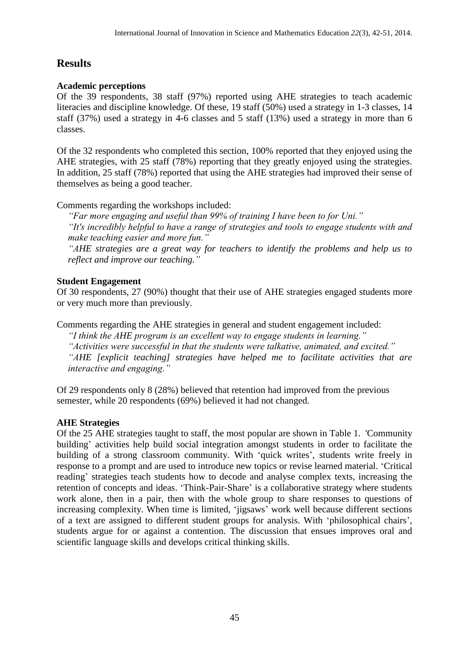## **Results**

#### **Academic perceptions**

Of the 39 respondents, 38 staff (97%) reported using AHE strategies to teach academic literacies and discipline knowledge. Of these, 19 staff (50%) used a strategy in 1-3 classes, 14 staff (37%) used a strategy in 4-6 classes and 5 staff (13%) used a strategy in more than 6 classes.

Of the 32 respondents who completed this section, 100% reported that they enjoyed using the AHE strategies, with 25 staff (78%) reporting that they greatly enjoyed using the strategies. In addition, 25 staff (78%) reported that using the AHE strategies had improved their sense of themselves as being a good teacher.

Comments regarding the workshops included:

*"Far more engaging and useful than 99% of training I have been to for Uni."* 

*"It's incredibly helpful to have a range of strategies and tools to engage students with and make teaching easier and more fun."* 

*"AHE strategies are a great way for teachers to identify the problems and help us to reflect and improve our teaching."* 

#### **Student Engagement**

Of 30 respondents, 27 (90%) thought that their use of AHE strategies engaged students more or very much more than previously.

Comments regarding the AHE strategies in general and student engagement included:

*"I think the AHE program is an excellent way to engage students in learning." "Activities were successful in that the students were talkative, animated, and excited." "AHE [explicit teaching] strategies have helped me to facilitate activities that are interactive and engaging."* 

Of 29 respondents only 8 (28%) believed that retention had improved from the previous semester, while 20 respondents (69%) believed it had not changed.

#### **AHE Strategies**

Of the 25 AHE strategies taught to staff, the most popular are shown in Table 1. 'Community building' activities help build social integration amongst students in order to facilitate the building of a strong classroom community. With 'quick writes', students write freely in response to a prompt and are used to introduce new topics or revise learned material. 'Critical reading' strategies teach students how to decode and analyse complex texts, increasing the retention of concepts and ideas. 'Think-Pair-Share' is a collaborative strategy where students work alone, then in a pair, then with the whole group to share responses to questions of increasing complexity. When time is limited, 'jigsaws' work well because different sections of a text are assigned to different student groups for analysis. With 'philosophical chairs', students argue for or against a contention. The discussion that ensues improves oral and scientific language skills and develops critical thinking skills.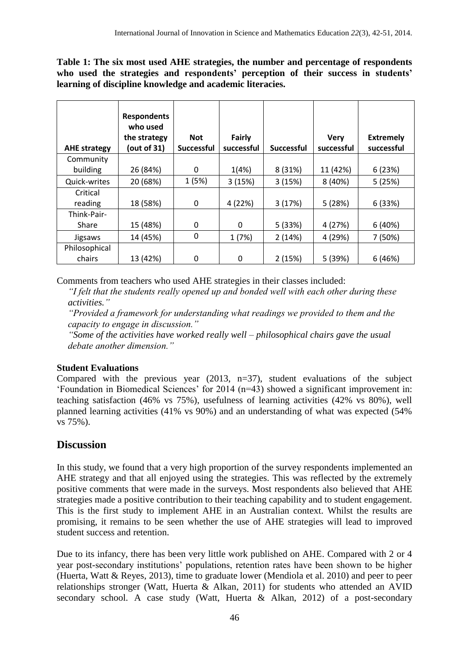**Table 1: The six most used AHE strategies, the number and percentage of respondents who used the strategies and respondents' perception of their success in students' learning of discipline knowledge and academic literacies.**

| <b>AHE strategy</b> | <b>Respondents</b><br>who used<br>the strategy<br>(out of 31) | <b>Not</b><br><b>Successful</b> | Fairly<br>successful | <b>Successful</b> | <b>Very</b><br>successful | <b>Extremely</b><br>successful |
|---------------------|---------------------------------------------------------------|---------------------------------|----------------------|-------------------|---------------------------|--------------------------------|
| Community           |                                                               |                                 |                      |                   |                           |                                |
| building            | 26 (84%)                                                      | 0                               | 1(4%)                | 8 (31%)           | 11 (42%)                  | 6(23%)                         |
| Quick-writes        | 20 (68%)                                                      | 1(5%)                           | 3(15%)               | 3(15%)            | 8 (40%)                   | 5(25%)                         |
| Critical            |                                                               |                                 |                      |                   |                           |                                |
| reading             | 18 (58%)                                                      | 0                               | 4 (22%)              | 3(17%)            | 5(28%)                    | 6(33%)                         |
| Think-Pair-         |                                                               |                                 |                      |                   |                           |                                |
| Share               | 15 (48%)                                                      | 0                               | 0                    | 5(33%)            | 4 (27%)                   | 6(40%)                         |
| Jigsaws             | 14 (45%)                                                      | 0                               | 1(7%)                | 2(14%)            | 4 (29%)                   | 7 (50%)                        |
| Philosophical       |                                                               |                                 |                      |                   |                           |                                |
| chairs              | 13 (42%)                                                      | 0                               | 0                    | 2(15%)            | 5 (39%)                   | 6(46%)                         |

Comments from teachers who used AHE strategies in their classes included:

*"I felt that the students really opened up and bonded well with each other during these activities."*

*"Provided a framework for understanding what readings we provided to them and the capacity to engage in discussion."*

*"Some of the activities have worked really well – philosophical chairs gave the usual debate another dimension."*

#### **Student Evaluations**

Compared with the previous year (2013, n=37), student evaluations of the subject 'Foundation in Biomedical Sciences' for 2014 (n=43) showed a significant improvement in: teaching satisfaction (46% vs 75%), usefulness of learning activities (42% vs 80%), well planned learning activities (41% vs 90%) and an understanding of what was expected (54% vs 75%).

## **Discussion**

In this study, we found that a very high proportion of the survey respondents implemented an AHE strategy and that all enjoyed using the strategies. This was reflected by the extremely positive comments that were made in the surveys. Most respondents also believed that AHE strategies made a positive contribution to their teaching capability and to student engagement. This is the first study to implement AHE in an Australian context. Whilst the results are promising, it remains to be seen whether the use of AHE strategies will lead to improved student success and retention.

Due to its infancy, there has been very little work published on AHE. Compared with 2 or 4 year post-secondary institutions' populations, retention rates have been shown to be higher (Huerta, Watt & Reyes, 2013), time to graduate lower (Mendiola et al. 2010) and peer to peer relationships stronger (Watt, Huerta & Alkan, 2011) for students who attended an AVID secondary school. A case study (Watt, Huerta & Alkan, 2012) of a post-secondary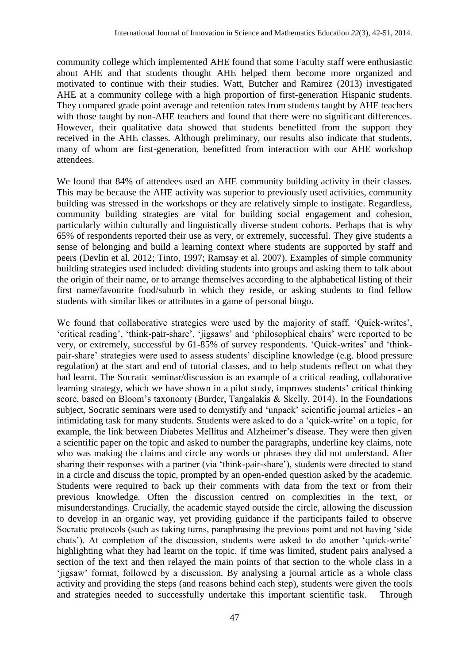community college which implemented AHE found that some Faculty staff were enthusiastic about AHE and that students thought AHE helped them become more organized and motivated to continue with their studies. Watt, Butcher and Ramirez (2013) investigated AHE at a community college with a high proportion of first-generation Hispanic students. They compared grade point average and retention rates from students taught by AHE teachers with those taught by non-AHE teachers and found that there were no significant differences. However, their qualitative data showed that students benefitted from the support they received in the AHE classes. Although preliminary, our results also indicate that students, many of whom are first-generation, benefitted from interaction with our AHE workshop attendees.

We found that 84% of attendees used an AHE community building activity in their classes. This may be because the AHE activity was superior to previously used activities, community building was stressed in the workshops or they are relatively simple to instigate. Regardless, community building strategies are vital for building social engagement and cohesion, particularly within culturally and linguistically diverse student cohorts. Perhaps that is why 65% of respondents reported their use as very, or extremely, successful. They give students a sense of belonging and build a learning context where students are supported by staff and peers (Devlin et al. 2012; Tinto, 1997; Ramsay et al. 2007). Examples of simple community building strategies used included: dividing students into groups and asking them to talk about the origin of their name, or to arrange themselves according to the alphabetical listing of their first name/favourite food/suburb in which they reside, or asking students to find fellow students with similar likes or attributes in a game of personal bingo.

We found that collaborative strategies were used by the majority of staff. 'Quick-writes', 'critical reading', 'think-pair-share', 'jigsaws' and 'philosophical chairs' were reported to be very, or extremely, successful by 61-85% of survey respondents. 'Quick-writes' and 'thinkpair-share' strategies were used to assess students' discipline knowledge (e.g. blood pressure regulation) at the start and end of tutorial classes, and to help students reflect on what they had learnt. The Socratic seminar/discussion is an example of a critical reading, collaborative learning strategy, which we have shown in a pilot study, improves students' critical thinking score, based on Bloom's taxonomy (Burder, Tangalakis & Skelly, 2014). In the Foundations subject, Socratic seminars were used to demystify and 'unpack' scientific journal articles - an intimidating task for many students. Students were asked to do a 'quick-write' on a topic, for example, the link between Diabetes Mellitus and Alzheimer's disease. They were then given a scientific paper on the topic and asked to number the paragraphs, underline key claims, note who was making the claims and circle any words or phrases they did not understand. After sharing their responses with a partner (via 'think-pair-share'), students were directed to stand in a circle and discuss the topic, prompted by an open-ended question asked by the academic. Students were required to back up their comments with data from the text or from their previous knowledge. Often the discussion centred on complexities in the text, or misunderstandings. Crucially, the academic stayed outside the circle, allowing the discussion to develop in an organic way, yet providing guidance if the participants failed to observe Socratic protocols (such as taking turns, paraphrasing the previous point and not having 'side chats'). At completion of the discussion, students were asked to do another 'quick-write' highlighting what they had learnt on the topic. If time was limited, student pairs analysed a section of the text and then relayed the main points of that section to the whole class in a 'jigsaw' format, followed by a discussion. By analysing a journal article as a whole class activity and providing the steps (and reasons behind each step), students were given the tools and strategies needed to successfully undertake this important scientific task. Through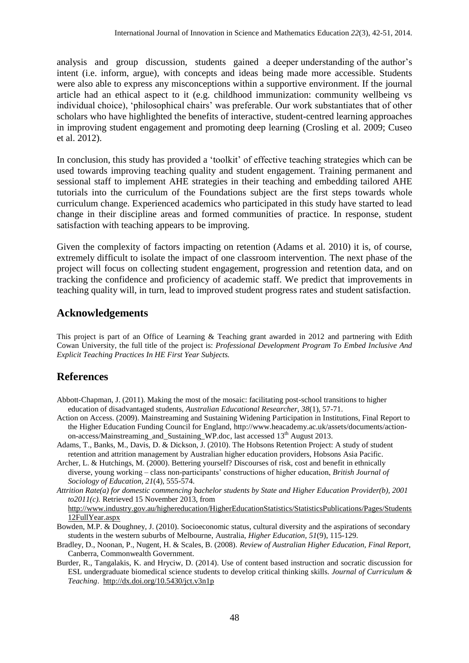analysis and group discussion, students gained a deeper understanding of the author's intent (i.e. inform, argue), with concepts and ideas being made more accessible. Students were also able to express any misconceptions within a supportive environment. If the journal article had an ethical aspect to it (e.g. childhood immunization: community wellbeing vs individual choice), 'philosophical chairs' was preferable. Our work substantiates that of other scholars who have highlighted the benefits of interactive, student-centred learning approaches in improving student engagement and promoting deep learning (Crosling et al. 2009; Cuseo et al. 2012).

In conclusion, this study has provided a 'toolkit' of effective teaching strategies which can be used towards improving teaching quality and student engagement. Training permanent and sessional staff to implement AHE strategies in their teaching and embedding tailored AHE tutorials into the curriculum of the Foundations subject are the first steps towards whole curriculum change. Experienced academics who participated in this study have started to lead change in their discipline areas and formed communities of practice. In response, student satisfaction with teaching appears to be improving.

Given the complexity of factors impacting on retention (Adams et al. 2010) it is, of course, extremely difficult to isolate the impact of one classroom intervention. The next phase of the project will focus on collecting student engagement, progression and retention data, and on tracking the confidence and proficiency of academic staff. We predict that improvements in teaching quality will, in turn, lead to improved student progress rates and student satisfaction.

#### **Acknowledgements**

This project is part of an Office of Learning & Teaching grant awarded in 2012 and partnering with Edith Cowan University, the full title of the project is: *Professional Development Program To Embed Inclusive And Explicit Teaching Practices In HE First Year Subjects.*

### **References**

- Abbott-Chapman, J. (2011). Making the most of the mosaic: facilitating post-school transitions to higher education of disadvantaged students, *Australian Educational Researcher, 38*(1), 57-71.
- Action on Access. (2009). Mainstreaming and Sustaining Widening Participation in Institutions, Final Report to the Higher Education Funding Council for England, [http://www.heacademy.ac.uk/assets/documents/action](http://www.heacademy.ac.uk/assets/documents/action-on-access/Mainstreaming_and_Sustaining_WP.doc)[on-access/Mainstreaming\\_and\\_Sustaining\\_WP.doc,](http://www.heacademy.ac.uk/assets/documents/action-on-access/Mainstreaming_and_Sustaining_WP.doc) last accessed 13<sup>th</sup> August 2013.
- Adams, T., Banks, M., Davis, D. & Dickson, J. (2010). The Hobsons Retention Project: A study of student retention and attrition management by Australian higher education providers, Hobsons Asia Pacific.
- Archer, L. & Hutchings, M. (2000). Bettering yourself? Discourses of risk, cost and benefit in ethnically diverse, young working – class non-participants' constructions of higher education, *British Journal of Sociology of Education, 21*(4), 555-574.
- *Attrition Rate(a) for domestic commencing bachelor students by State and Higher Education Provider(b), 2001 to2011(c).* Retrieved 15 November 2013, from

http://www.industry.gov.au/highereducation/HigherEducationStatistics/StatisticsPublications/Pages/Students 12FullYear.aspx

- Bowden, M.P. & Doughney, J. (2010). Socioeconomic status, cultural diversity and the aspirations of secondary students in the western suburbs of Melbourne, Australia, *Higher Education, 51*(9), 115-129.
- Bradley, D., Noonan, P., Nugent, H. & Scales, B. (2008). *Review of Australian Higher Education, Final Report,*  Canberra, Commonwealth Government.
- Burder, R., Tangalakis, K. and Hryciw, D. (2014). Use of content based instruction and socratic discussion for ESL undergraduate biomedical science students to develop critical thinking skills. *Journal of Curriculum & Teaching*. <http://dx.doi.org/10.5430/jct.v3n1p>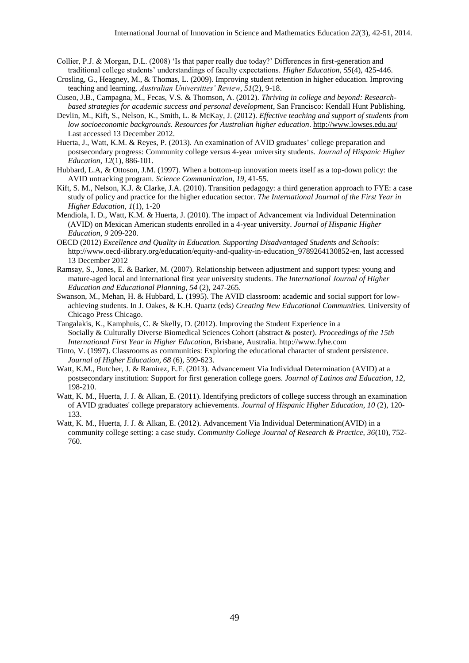- Collier, P.J. & Morgan, D.L. (2008) 'Is that paper really due today?' Differences in first-generation and traditional college students' understandings of faculty expectations. *Higher Education, 55*(4), 425-446.
- Crosling, G., Heagney, M., & Thomas, L. (2009). Improving student retention in higher education. Improving teaching and learning. *Australian Universities' Review*, *51*(2), 9-18.
- Cuseo, J.B., Campagna, M., Fecas, V.S. & Thomson, A. (2012). *Thriving in college and beyond: Researchbased strategies for academic success and personal development*, San Francisco: Kendall Hunt Publishing.
- Devlin, M., Kift, S., Nelson, K., Smith, L. & McKay, J. (2012). *Effective teaching and support of students from low socioeconomic backgrounds. Resources for Australian higher education*.<http://www.lowses.edu.au/> Last accessed 13 December 2012.
- Huerta, J., Watt, K.M. & Reyes, P. (2013). An examination of AVID graduates' college preparation and postsecondary progress: Community college versus 4-year university students. *Journal of Hispanic Higher Education*, *12*(1), 886-101.
- Hubbard, L.A, & Ottoson, J.M. (1997). When a bottom-up innovation meets itself as a top-down policy: the AVID untracking program. *Science Communication, 19,* 41-55.
- Kift, S. M., Nelson, K.J. & Clarke, J.A. (2010). Transition pedagogy: a third generation approach to FYE: a case study of policy and practice for the higher education sector. *The International Journal of the First Year in Higher Education*, *1*(1), 1-20
- Mendiola, I. D., Watt, K.M. & Huerta, J. (2010). The impact of Advancement via Individual Determination (AVID) on Mexican American students enrolled in a 4-year university. *Journal of Hispanic Higher Education*, *9* 209-220.
- OECD (2012) *Excellence and Quality in Education. Supporting Disadvantaged Students and Schools*: [http://www.oecd-ilibrary.org/education/equity-and-quality-in-education\\_9789264130852-en,](http://www.oecd-ilibrary.org/education/equity-and-quality-in-education_9789264130852-en) last accessed 13 December 2012
- Ramsay, S., Jones, E. & Barker, M. (2007). Relationship between adjustment and support types: young and mature-aged local and international first year university students. *The International Journal of Higher Education and Educational Planning, 54* (2), 247-265.
- Swanson, M., Mehan, H. & Hubbard, L. (1995). The AVID classroom: academic and social support for lowachieving students. In J. Oakes, & K.H. Quartz (eds) *Creating New Educational Communities.* University of Chicago Press Chicago.
- Tangalakis, K., Kamphuis, C. & Skelly, D. (2012). Improving the Student Experience in a Socially & Culturally Diverse Biomedical Sciences Cohort (abstract & poster). *Proceedings of the 15th International First Year in Higher Education*, Brisbane, Australia. http://www.fyhe.com
- Tinto, V. (1997). Classrooms as communities: Exploring the educational character of student persistence. *Journal of Higher Education, 68* (6), 599-623.
- Watt, K.M., Butcher, J. & Ramirez, E.F. (2013). Advancement Via Individual Determination (AVID) at a postsecondary institution: Support for first generation college goers. *Journal of Latinos and Education*, *12,* 198-210.
- Watt, K. M., Huerta, J. J. & Alkan, E. (2011). Identifying predictors of college success through an examination of AVID graduates' college preparatory achievements. *Journal of Hispanic Higher Education, 10* (2), 120- 133.
- Watt, K. M., Huerta, J. J. & Alkan, E. (2012). Advancement Via Individual Determination(AVID) in a community college setting: a case study. *Community College Journal of Research & Practice, 36*(10), 752- 760.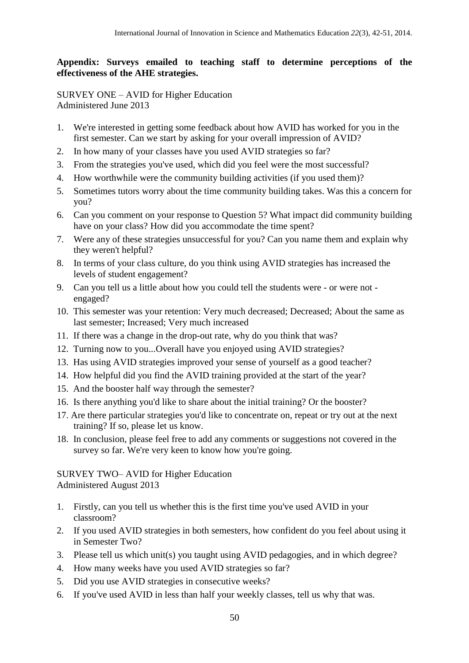#### **Appendix: Surveys emailed to teaching staff to determine perceptions of the effectiveness of the AHE strategies.**

SURVEY ONE – AVID for Higher Education Administered June 2013

- 1. We're interested in getting some feedback about how AVID has worked for you in the first semester. Can we start by asking for your overall impression of AVID?
- 2. In how many of your classes have you used AVID strategies so far?
- 3. From the strategies you've used, which did you feel were the most successful?
- 4. How worthwhile were the community building activities (if you used them)?
- 5. Sometimes tutors worry about the time community building takes. Was this a concern for you?
- 6. Can you comment on your response to Question 5? What impact did community building have on your class? How did you accommodate the time spent?
- 7. Were any of these strategies unsuccessful for you? Can you name them and explain why they weren't helpful?
- 8. In terms of your class culture, do you think using AVID strategies has increased the levels of student engagement?
- 9. Can you tell us a little about how you could tell the students were or were not engaged?
- 10. This semester was your retention: Very much decreased; Decreased; About the same as last semester; Increased; Very much increased
- 11. If there was a change in the drop-out rate, why do you think that was?
- 12. Turning now to you...Overall have you enjoyed using AVID strategies?
- 13. Has using AVID strategies improved your sense of yourself as a good teacher?
- 14. How helpful did you find the AVID training provided at the start of the year?
- 15. And the booster half way through the semester?
- 16. Is there anything you'd like to share about the initial training? Or the booster?
- 17. Are there particular strategies you'd like to concentrate on, repeat or try out at the next training? If so, please let us know.
- 18. In conclusion, please feel free to add any comments or suggestions not covered in the survey so far. We're very keen to know how you're going.

SURVEY TWO– AVID for Higher Education Administered August 2013

- 1. Firstly, can you tell us whether this is the first time you've used AVID in your classroom?
- 2. If you used AVID strategies in both semesters, how confident do you feel about using it in Semester Two?
- 3. Please tell us which unit(s) you taught using AVID pedagogies, and in which degree?
- 4. How many weeks have you used AVID strategies so far?
- 5. Did you use AVID strategies in consecutive weeks?
- 6. If you've used AVID in less than half your weekly classes, tell us why that was.